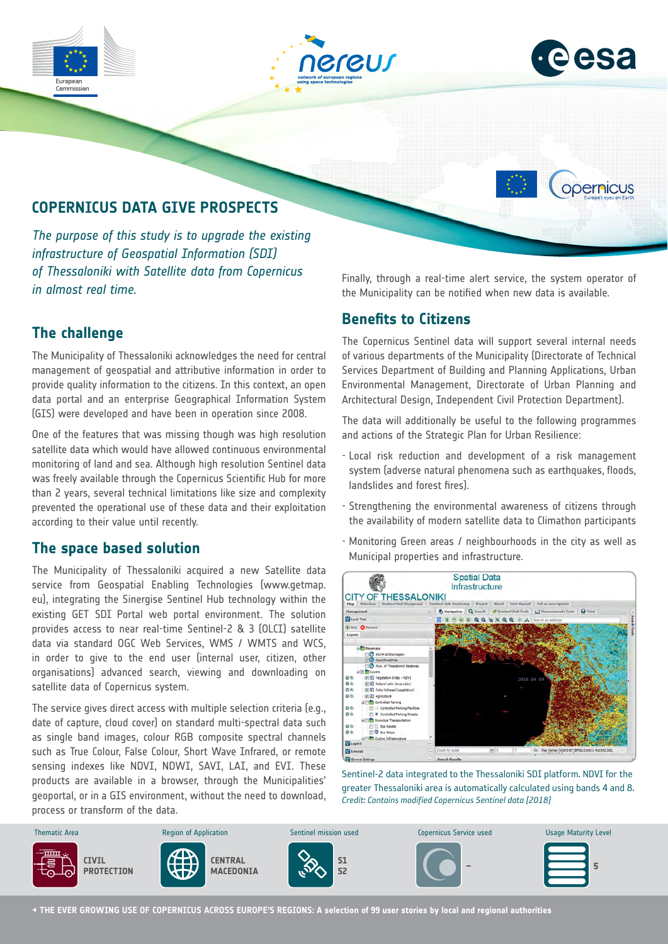





opernicus

# **COPERNICUS DATA GIVE PROSPECTS**

*The purpose of this study is to upgrade the existing infrastructure of Geospatial Information (SDI) of Thessaloniki with Satellite data from Copernicus in almost real time.* 

## **The challenge**

The Municipality of Thessaloniki acknowledges the need for central management of geospatial and attributive information in order to provide quality information to the citizens. In this context, an open data portal and an enterprise Geographical Information System (GIS) were developed and have been in operation since 2008.

One of the features that was missing though was high resolution satellite data which would have allowed continuous environmental monitoring of land and sea. Although high resolution Sentinel data was freely available through the Copernicus Scientific Hub for more than 2 years, several technical limitations like size and complexity prevented the operational use of these data and their exploitation according to their value until recently.

#### **The space based solution**

The Municipality of Thessaloniki acquired a new Satellite data service from Geospatial Enabling Technologies (www.getmap. eu), integrating the Sinergise Sentinel Hub technology within the existing GET SDI Portal web portal environment. The solution provides access to near real-time Sentinel-2 & 3 (OLCI) satellite data via standard OGC Web Services, WMS / WMTS and WCS, in order to give to the end user (internal user, citizen, other organisations) advanced search, viewing and downloading on satellite data of Copernicus system.

The service gives direct access with multiple selection criteria (e.g., date of capture, cloud cover) on standard multi-spectral data such as single band images, colour RGB composite spectral channels such as True Colour, False Colour, Short Wave Infrared, or remote sensing indexes like NDVI, NDWI, SAVI, LAI, and EVI. These products are available in a browser, through the Municipalities' geoportal, or in a GIS environment, without the need to download, process or transform of the data.

Finally, through a real-time alert service, the system operator of the Municipality can be notified when new data is available.

#### **Benefits to Citizens**

The Copernicus Sentinel data will support several internal needs of various departments of the Municipality (Directorate of Technical Services Department of Building and Planning Applications, Urban Environmental Management, Directorate of Urban Planning and Architectural Design, Independent Civil Protection Department).

The data will additionally be useful to the following programmes and actions of the Strategic Plan for Urban Resilience:

- Local risk reduction and development of a risk management system (adverse natural phenomena such as earthquakes, floods, landslides and forest fires).
- Strengthening the environmental awareness of citizens through the availability of modern satellite data to Climathon participants
- Monitoring Green areas / neighbourhoods in the city as well as Municipal properties and infrastructure.



Sentinel-2 data integrated to the Thessaloniki SDI platform. NDVI for the greater Thessaloniki area is automatically calculated using bands 4 and 8. *Credit: Contains modified Copernicus Sentinel data [2018]*



**→ THE EVER GROWING USE OF COPERNICUS ACROSS EUROPE'S REGIONS: A selection of 99 user stories by local and regional authorities**